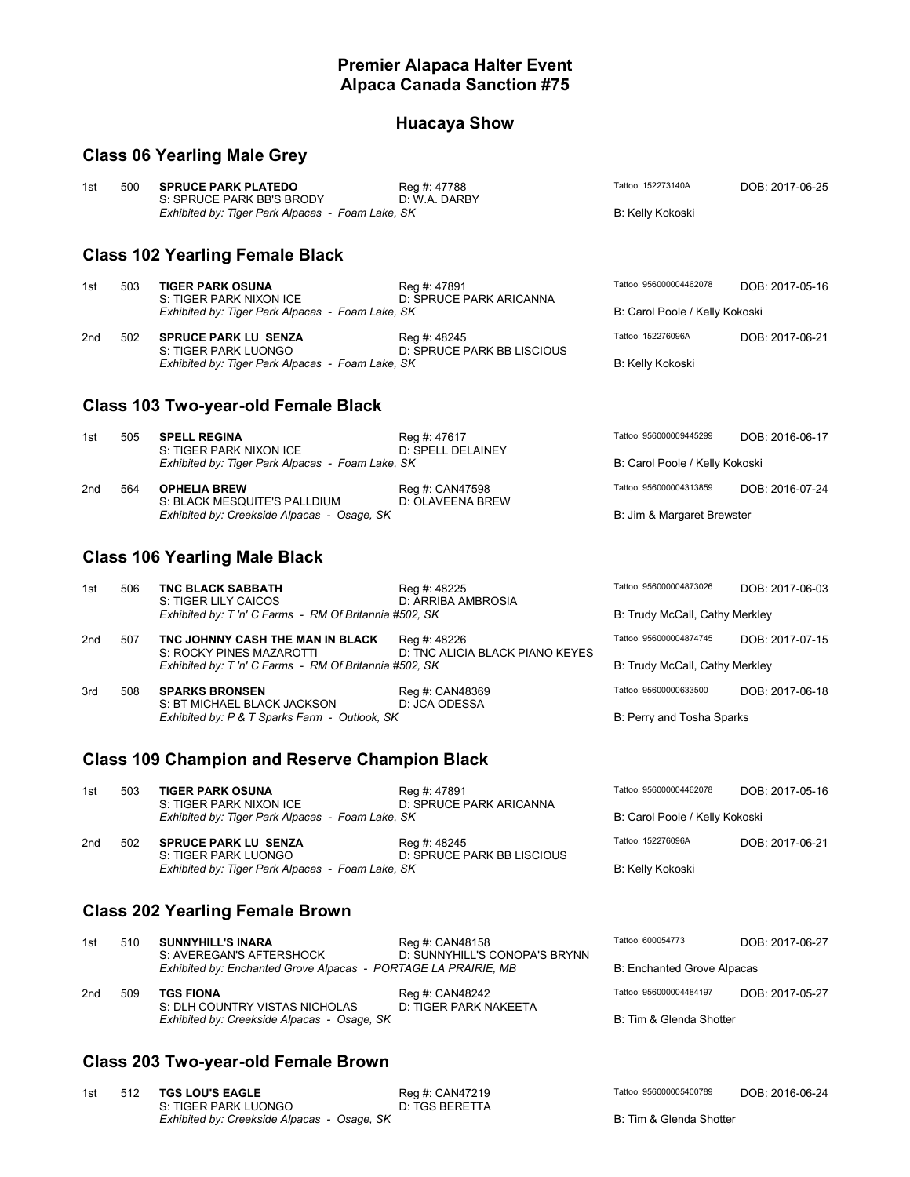#### **Premier Alapaca Halter Event Alpaca Canada Sanction #75**

#### **Huacaya Show**

#### **Class 06 Yearling Male Grey**

| 1st             | 500                                    | <b>SPRUCE PARK PLATEDO</b><br>S: SPRUCE PARK BB'S BRODY<br>Exhibited by: Tiger Park Alpacas - Foam Lake, SK | Reg #: 47788<br>D: W.A. DARBY              | Tattoo: 152273140A<br><b>B: Kelly Kokoski</b> | DOB: 2017-06-25 |  |  |  |
|-----------------|----------------------------------------|-------------------------------------------------------------------------------------------------------------|--------------------------------------------|-----------------------------------------------|-----------------|--|--|--|
|                 | <b>Class 102 Yearling Female Black</b> |                                                                                                             |                                            |                                               |                 |  |  |  |
| 1st             | 503                                    | <b>TIGER PARK OSUNA</b><br>S: TIGER PARK NIXON ICE                                                          | Reg #: 47891<br>D: SPRUCE PARK ARICANNA    | Tattoo: 956000004462078                       | DOB: 2017-05-16 |  |  |  |
|                 |                                        | Exhibited by: Tiger Park Alpacas - Foam Lake, SK                                                            |                                            | B: Carol Poole / Kelly Kokoski                |                 |  |  |  |
| 2 <sub>nd</sub> | 502                                    | <b>SPRUCE PARK LU SENZA</b><br>S: TIGER PARK LUONGO                                                         | Reg #: 48245<br>D: SPRUCE PARK BB LISCIOUS | Tattoo: 152276096A                            | DOB: 2017-06-21 |  |  |  |
|                 |                                        | Exhibited by: Tiger Park Alpacas - Foam Lake, SK                                                            |                                            | <b>B: Kelly Kokoski</b>                       |                 |  |  |  |
|                 | Class 103 Two-year-old Female Black    |                                                                                                             |                                            |                                               |                 |  |  |  |
| 1st             | 505                                    | <b>SPELL REGINA</b><br>S: TIGER PARK NIXON ICE                                                              | Reg #: 47617<br>D: SPELL DELAINEY          | Tattoo: 956000009445299                       | DOB: 2016-06-17 |  |  |  |
|                 |                                        | Exhibited by: Tiger Park Alpacas - Foam Lake, SK                                                            |                                            | B: Carol Poole / Kelly Kokoski                |                 |  |  |  |

| 2nd | 564 | <b>OPHELIA BREW</b>                         | Rea #: CAN47598  | Tattoo: 956000004313859    | DOB: 2016-07-24 |
|-----|-----|---------------------------------------------|------------------|----------------------------|-----------------|
|     |     | S: BLACK MESQUITE'S PALLDIUM                | D: OLAVEENA BREW |                            |                 |
|     |     | Exhibited by: Creekside Alpacas - Osage, SK |                  | B: Jim & Margaret Brewster |                 |

## **Class 106 Yearling Male Black**

| 1st | 506 | <b>TNC BLACK SABBATH</b><br>S: TIGER LILY CAICOS<br>Exhibited by: T'n' C Farms - RM Of Britannia #502, SK             | Reg #: 48225<br>D: ARRIBA AMBROSIA              | Tattoo: 956000004873026<br>B: Trudy McCall, Cathy Merkley | DOB: 2017-06-03 |
|-----|-----|-----------------------------------------------------------------------------------------------------------------------|-------------------------------------------------|-----------------------------------------------------------|-----------------|
| 2nd | 507 | TNC JOHNNY CASH THE MAN IN BLACK<br>S: ROCKY PINES MAZAROTTI<br>Exhibited by: T'n' C Farms - RM Of Britannia #502, SK | Reg #: 48226<br>D: TNC ALICIA BLACK PIANO KEYES | Tattoo: 956000004874745<br>B: Trudy McCall, Cathy Merkley | DOB: 2017-07-15 |
| 3rd | 508 | <b>SPARKS BRONSEN</b><br>S: BT MICHAEL BLACK JACKSON<br>Exhibited by: P & T Sparks Farm - Outlook, SK                 | Reg #: CAN48369<br>D: JCA ODESSA                | Tattoo: 95600000633500<br>B: Perry and Tosha Sparks       | DOB: 2017-06-18 |

### **Class 109 Champion and Reserve Champion Black**

| 1st | 503 | <b>TIGER PARK OSUNA</b><br>S: TIGER PARK NIXON ICE<br>Exhibited by: Tiger Park Alpacas - Foam Lake, SK | Reg #: 47891<br>D: SPRUCE PARK ARICANNA    | Tattoo: 956000004462078<br>B: Carol Poole / Kelly Kokoski | DOB: 2017-05-16 |
|-----|-----|--------------------------------------------------------------------------------------------------------|--------------------------------------------|-----------------------------------------------------------|-----------------|
| 2nd | 502 | <b>SPRUCE PARK LU SENZA</b><br>S: TIGER PARK LUONGO                                                    | Reg #: 48245<br>D: SPRUCE PARK BB LISCIOUS | Tattoo: 152276096A                                        | DOB: 2017-06-21 |

**Exhibited by: Tiger Park Alpacas - Foam Lake, SK** B: Kelly Kokoski

## **Class 202 Yearling Female Brown**

| 1st | 510 | <b>SUNNYHILL'S INARA</b><br>S: AVEREGAN'S AFTERSHOCK<br>Exhibited by: Enchanted Grove Alpacas - PORTAGE LA PRAIRIE, MB | Reg #: CAN48158<br>D: SUNNYHILL'S CONOPA'S BRYNN | Tattoo: 600054773<br>B: Enchanted Grove Alpacas | DOB: 2017-06-27 |
|-----|-----|------------------------------------------------------------------------------------------------------------------------|--------------------------------------------------|-------------------------------------------------|-----------------|
| 2nd | 509 | <b>TGS FIONA</b><br>S: DLH COUNTRY VISTAS NICHOLAS                                                                     | Reg #: CAN48242<br>D: TIGER PARK NAKEETA         | Tattoo: 956000004484197                         | DOB: 2017-05-27 |
|     |     | Exhibited by: Creekside Alpacas - Osage, SK                                                                            |                                                  | B: Tim & Glenda Shotter                         |                 |

#### **Class 203 Two-year-old Female Brown**

| 1st | 512 TGS LOU'S EAGLE                         | Reg #: CAN47219 | Tattoo: 956000005400789 | DOB: 2016-06-24 |
|-----|---------------------------------------------|-----------------|-------------------------|-----------------|
|     | S: TIGER PARK LUONGO                        | D: TGS BERETTA  |                         |                 |
|     | Exhibited by: Creekside Alpacas - Osage, SK |                 | B: Tim & Glenda Shotter |                 |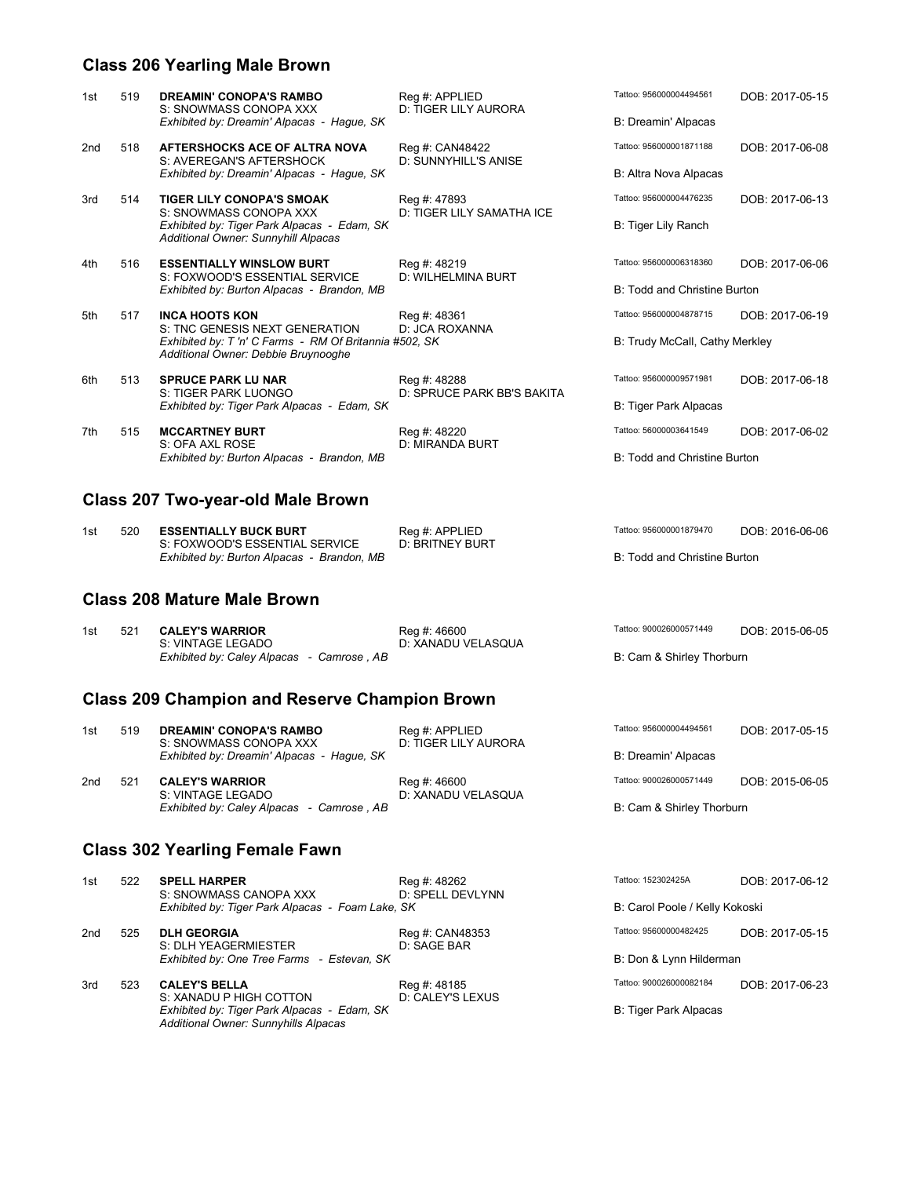### **Class 206 Yearling Male Brown**

| 1st | 519 | <b>DREAMIN' CONOPA'S RAMBO</b><br>S: SNOWMASS CONOPA XXX<br>Exhibited by: Dreamin' Alpacas - Hague, SK | Reg #: APPLIED<br>D: TIGER LILY AURORA     | Tattoo: 956000004494561<br>B: Dreamin' Alpacas | DOB: 2017-05-15 |
|-----|-----|--------------------------------------------------------------------------------------------------------|--------------------------------------------|------------------------------------------------|-----------------|
| 2nd | 518 | AFTERSHOCKS ACE OF ALTRA NOVA<br>S: AVEREGAN'S AFTERSHOCK                                              | Reg #: CAN48422<br>D: SUNNYHILL'S ANISE    | Tattoo: 956000001871188                        | DOB: 2017-06-08 |
|     |     | Exhibited by: Dreamin' Alpacas - Hague, SK                                                             |                                            | B: Altra Nova Alpacas                          |                 |
| 3rd | 514 | <b>TIGER LILY CONOPA'S SMOAK</b><br>S: SNOWMASS CONOPA XXX                                             | Reg #: 47893<br>D: TIGER LILY SAMATHA ICE  | Tattoo: 956000004476235                        | DOB: 2017-06-13 |
|     |     | Exhibited by: Tiger Park Alpacas - Edam, SK<br>Additional Owner: Sunnyhill Alpacas                     |                                            | B: Tiger Lily Ranch                            |                 |
| 4th | 516 | <b>ESSENTIALLY WINSLOW BURT</b><br>S: FOXWOOD'S ESSENTIAL SERVICE                                      | Reg #: 48219<br>D: WILHELMINA BURT         | Tattoo: 956000006318360                        | DOB: 2017-06-06 |
|     |     | Exhibited by: Burton Alpacas - Brandon, MB                                                             |                                            | B: Todd and Christine Burton                   |                 |
| 5th | 517 | <b>INCA HOOTS KON</b><br>S: TNC GENESIS NEXT GENERATION                                                | Reg #: 48361<br>D: JCA ROXANNA             | Tattoo: 956000004878715                        | DOB: 2017-06-19 |
|     |     | Exhibited by: T'n' C Farms - RM Of Britannia #502, SK<br>Additional Owner: Debbie Bruynooghe           |                                            | B: Trudy McCall, Cathy Merkley                 |                 |
| 6th | 513 | <b>SPRUCE PARK LU NAR</b><br>S: TIGER PARK LUONGO                                                      | Reg #: 48288<br>D: SPRUCE PARK BB'S BAKITA | Tattoo: 956000009571981                        | DOB: 2017-06-18 |
|     |     | Exhibited by: Tiger Park Alpacas - Edam, SK                                                            |                                            | B: Tiger Park Alpacas                          |                 |
| 7th | 515 | <b>MCCARTNEY BURT</b>                                                                                  | Reg #: 48220<br>D: MIRANDA BURT            | Tattoo: 56000003641549                         | DOB: 2017-06-02 |
|     |     | S: OFA AXL ROSE<br>Exhibited by: Burton Alpacas - Brandon, MB                                          |                                            | B: Todd and Christine Burton                   |                 |

### **Class 207 Two-year-old Male Brown**

| 1st | 520 | <b>ESSENTIALLY BUCK BURT</b>               | Reg #: APPLIED         | Tattoo: 956000001879470      | DOB: 2016-06-06 |
|-----|-----|--------------------------------------------|------------------------|------------------------------|-----------------|
|     |     | S: FOXWOOD'S ESSENTIAL SERVICE             | <b>D: BRITNEY BURT</b> |                              |                 |
|     |     | Exhibited by: Burton Alpacas - Brandon, MB |                        | B: Todd and Christine Burton |                 |

#### **Class 208 Mature Male Brown**

| 1st | 521 CALEY'S WARRIOR                       | Rea #: 46600       | Tattoo: 900026000571449   | DOB: 2015-06-05 |
|-----|-------------------------------------------|--------------------|---------------------------|-----------------|
|     | S: VINTAGE LEGADO                         | D: XANADU VELASQUA |                           |                 |
|     | Exhibited by: Caley Alpacas - Camrose, AB |                    | B: Cam & Shirley Thorburn |                 |

## **Class 209 Champion and Reserve Champion Brown**

| 1st | 519 | <b>DREAMIN' CONOPA'S RAMBO</b><br>S: SNOWMASS CONOPA XXX<br>Exhibited by: Dreamin' Alpacas - Haque, SK | Reg #: APPLIED<br>D: TIGER LILY AURORA | Tattoo: 956000004494561<br>B: Dreamin' Alpacas | DOB: 2017-05-15 |
|-----|-----|--------------------------------------------------------------------------------------------------------|----------------------------------------|------------------------------------------------|-----------------|
| 2nd | 521 | <b>CALEY'S WARRIOR</b>                                                                                 | Reg #: 46600                           | Tattoo: 900026000571449                        | DOB: 2015-06-05 |
|     |     | S: VINTAGE LEGADO<br>Exhibited by: Caley Alpacas - Camrose, AB                                         | D: XANADU VELASQUA                     | B: Cam & Shirley Thorburn                      |                 |

### **Class 302 Yearling Female Fawn**

*Additional Owner: Sunnyhills Alpacas*

| 1st | 522 | <b>SPELL HARPER</b><br>S: SNOWMASS CANOPA XXX    | Reg #: 48262<br>D: SPELL DEVLYNN | Tattoo: 152302425A             | DOB: 2017-06-12 |
|-----|-----|--------------------------------------------------|----------------------------------|--------------------------------|-----------------|
|     |     | Exhibited by: Tiger Park Alpacas - Foam Lake, SK |                                  | B: Carol Poole / Kelly Kokoski |                 |
| 2nd | 525 | <b>DLH GEORGIA</b><br>S: DLH YEAGERMIESTER       | Reg #: CAN48353<br>D: SAGE BAR   | Tattoo: 95600000482425         | DOB: 2017-05-15 |
|     |     | Exhibited by: One Tree Farms - Estevan, SK       |                                  | B: Don & Lynn Hilderman        |                 |
| 3rd | 523 | <b>CALEY'S BELLA</b><br>S: XANADU P HIGH COTTON  | Reg #: 48185<br>D: CALEY'S LEXUS | Tattoo: 900026000082184        | DOB: 2017-06-23 |
|     |     | Exhibited by: Tiger Park Alpacas - Edam, SK      |                                  | B: Tiger Park Alpacas          |                 |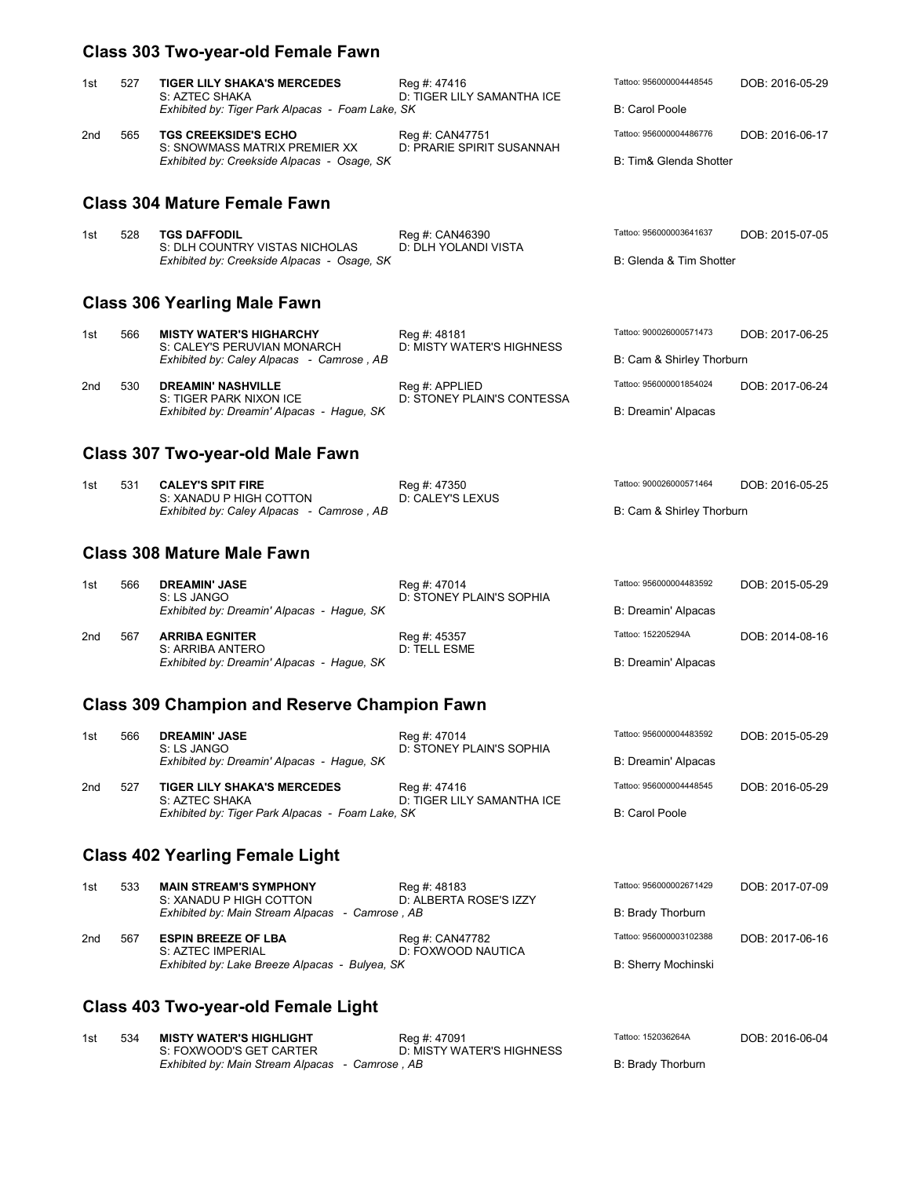## **Class 303 Two-year-old Female Fawn**

| 1st | 527 | <b>TIGER LILY SHAKA'S MERCEDES</b><br>S: AZTEC SHAKA<br>Exhibited by: Tiger Park Alpacas - Foam Lake, SK | Reg #: 47416<br>D: TIGER LILY SAMANTHA ICE | Tattoo: 956000004448545<br>B: Carol Poole | DOB: 2016-05-29 |
|-----|-----|----------------------------------------------------------------------------------------------------------|--------------------------------------------|-------------------------------------------|-----------------|
| 2nd | 565 | <b>TGS CREEKSIDE'S ECHO</b>                                                                              | Reg #: CAN47751                            | Tattoo: 956000004486776                   | DOB: 2016-06-17 |
|     |     | S: SNOWMASS MATRIX PREMIER XX<br>Exhibited by: Creekside Alpacas - Osage, SK                             | D: PRARIE SPIRIT SUSANNAH                  | B: Tim& Glenda Shotter                    |                 |

### **Class 304 Mature Female Fawn**

| 1st | 528 | <b>TGS DAFFODIL</b>                         | Reg #: CAN46390      | Tattoo: 956000003641637 | DOB: 2015-07-05 |
|-----|-----|---------------------------------------------|----------------------|-------------------------|-----------------|
|     |     | S: DLH COUNTRY VISTAS NICHOLAS              | D: DLH YOLANDI VISTA |                         |                 |
|     |     | Exhibited by: Creekside Alpacas - Osage, SK |                      | B: Glenda & Tim Shotter |                 |

#### **Class 306 Yearling Male Fawn**

| 1st | 566 | <b>MISTY WATER'S HIGHARCHY</b><br>S: CALEY'S PERUVIAN MONARCH<br>Exhibited by: Caley Alpacas - Camrose, AB | Reg #: 48181<br>D: MISTY WATER'S HIGHNESS    | Tattoo: 900026000571473<br>B: Cam & Shirley Thorburn | DOB: 2017-06-25 |
|-----|-----|------------------------------------------------------------------------------------------------------------|----------------------------------------------|------------------------------------------------------|-----------------|
| 2nd | 530 | <b>DREAMIN' NASHVILLE</b><br>S: TIGER PARK NIXON ICE                                                       | Reg #: APPLIED<br>D: STONEY PLAIN'S CONTESSA | Tattoo: 956000001854024                              | DOB: 2017-06-24 |
|     |     | Exhibited by: Dreamin' Alpacas - Hague, SK                                                                 |                                              | B: Dreamin' Alpacas                                  |                 |

### **Class 307 Two-year-old Male Fawn**

| 1st | 531 | <b>CALEY'S SPIT FIRE</b>                  | Reg #: 47350     | Tattoo: 900026000571464   | DOB: 2016-05-25 |
|-----|-----|-------------------------------------------|------------------|---------------------------|-----------------|
|     |     | S: XANADU P HIGH COTTON                   | D: CALEY'S LEXUS |                           |                 |
|     |     | Exhibited by: Caley Alpacas - Camrose, AB |                  | B: Cam & Shirley Thorburn |                 |

#### **Class 308 Mature Male Fawn**

| 1st | 566 | <b>DREAMIN' JASE</b><br>S: LS JANGO<br>Exhibited by: Dreamin' Alpacas - Haque, SK | Reg #: 47014<br>D: STONEY PLAIN'S SOPHIA | Tattoo: 956000004483592<br>B: Dreamin' Alpacas | DOB: 2015-05-29 |
|-----|-----|-----------------------------------------------------------------------------------|------------------------------------------|------------------------------------------------|-----------------|
| 2nd | 567 | <b>ARRIBA EGNITER</b><br>S: ARRIBA ANTERO                                         | Reg #: 45357<br>D: TELL ESME             | Tattoo: 152205294A                             | DOB: 2014-08-16 |
|     |     | Exhibited by: Dreamin' Alpacas - Haque, SK                                        |                                          | B: Dreamin' Alpacas                            |                 |

### **Class 309 Champion and Reserve Champion Fawn**

| 1st | 566 | <b>DREAMIN' JASE</b><br>S: LS JANGO<br>Exhibited by: Dreamin' Alpacas - Haque, SK                        | Reg #: 47014<br>D: STONEY PLAIN'S SOPHIA   | Tattoo: 956000004483592<br>B: Dreamin' Alpacas | DOB: 2015-05-29 |
|-----|-----|----------------------------------------------------------------------------------------------------------|--------------------------------------------|------------------------------------------------|-----------------|
| 2nd | 527 | <b>TIGER LILY SHAKA'S MERCEDES</b><br>S: AZTEC SHAKA<br>Exhibited by: Tiger Park Alpacas - Foam Lake, SK | Reg #: 47416<br>D: TIGER LILY SAMANTHA ICE | Tattoo: 956000004448545<br>B: Carol Poole      | DOB: 2016-05-29 |

### **Class 402 Yearling Female Light**

| 1st | 533 | <b>MAIN STREAM'S SYMPHONY</b><br>S: XANADU P HIGH COTTON<br>Exhibited by: Main Stream Alpacas - Camrose, AB | Reg #: 48183<br>D: ALBERTA ROSE'S IZZY | Tattoo: 956000002671429<br>B: Brady Thorburn   | DOB: 2017-07-09 |
|-----|-----|-------------------------------------------------------------------------------------------------------------|----------------------------------------|------------------------------------------------|-----------------|
| 2nd | 567 | <b>ESPIN BREEZE OF LBA</b><br>S: AZTEC IMPERIAL<br>Exhibited by: Lake Breeze Alpacas - Bulyea, SK           | Reg #: CAN47782<br>D: FOXWOOD NAUTICA  | Tattoo: 956000003102388<br>B: Sherry Mochinski | DOB: 2017-06-16 |

## **Class 403 Two-year-old Female Light**

| 1st | 534 | MISTY WATER'S HIGHLIGHT<br>S: FOXWOOD'S GET CARTER | Reg #: 47091<br>D: MISTY WATER'S HIGHNESS | Tattoo: 152036264A | DOB: 2016-06-04 |
|-----|-----|----------------------------------------------------|-------------------------------------------|--------------------|-----------------|
|     |     | Exhibited by: Main Stream Alpacas - Camrose, AB    |                                           | B: Brady Thorburn  |                 |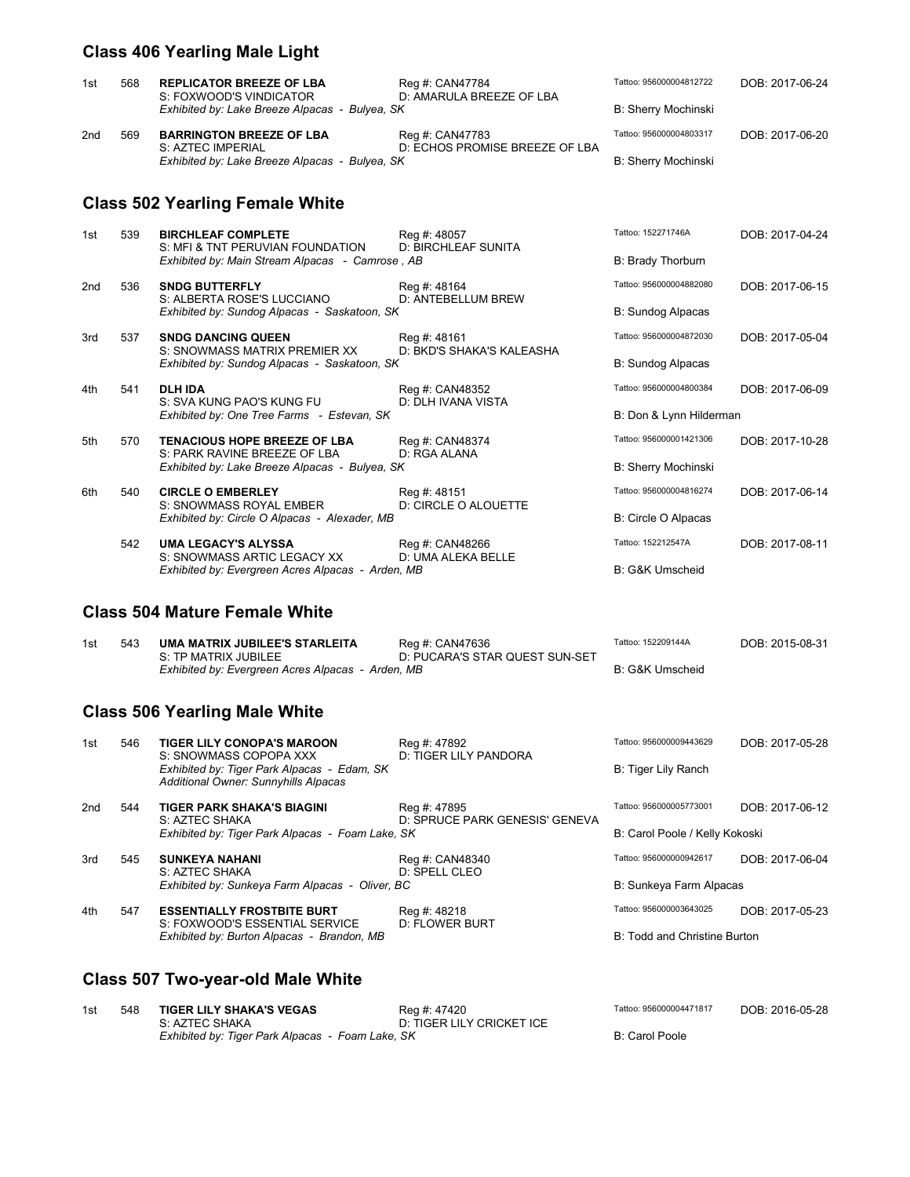## **Class 406 Yearling Male Light**

| 1st | 568 | <b>REPLICATOR BREEZE OF LBA</b><br>S: FOXWOOD'S VINDICATOR<br>Exhibited by: Lake Breeze Alpacas - Bulyea, SK | Reg #: CAN47784<br>D: AMARULA BREEZE OF LBA       | Tattoo: 956000004812722<br>B: Sherry Mochinski | DOB: 2017-06-24 |
|-----|-----|--------------------------------------------------------------------------------------------------------------|---------------------------------------------------|------------------------------------------------|-----------------|
| 2nd | 569 | <b>BARRINGTON BREEZE OF LBA</b><br>S: AZTEC IMPERIAL<br>Exhibited by: Lake Breeze Alpacas - Bulyea, SK       | Reg #: CAN47783<br>D: ECHOS PROMISE BREEZE OF LBA | Tattoo: 956000004803317<br>B: Sherry Mochinski | DOB: 2017-06-20 |

## **Class 502 Yearling Female White**

| 1st | 539 | <b>BIRCHLEAF COMPLETE</b><br>S: MFI & TNT PERUVIAN FOUNDATION<br>Exhibited by: Main Stream Alpacas - Camrose, AB | Reg #: 48057<br><b>D: BIRCHLEAF SUNITA</b> | Tattoo: 152271746A<br>B: Brady Thorburn | DOB: 2017-04-24 |
|-----|-----|------------------------------------------------------------------------------------------------------------------|--------------------------------------------|-----------------------------------------|-----------------|
| 2nd | 536 | <b>SNDG BUTTERFLY</b><br>S: ALBERTA ROSE'S LUCCIANO                                                              | Reg #: 48164<br>D: ANTEBELLUM BREW         | Tattoo: 956000004882080                 | DOB: 2017-06-15 |
|     |     | Exhibited by: Sundog Alpacas - Saskatoon, SK                                                                     |                                            | B: Sundog Alpacas                       |                 |
| 3rd | 537 | <b>SNDG DANCING QUEEN</b><br>S: SNOWMASS MATRIX PREMIER XX                                                       | Reg #: 48161<br>D: BKD'S SHAKA'S KALEASHA  | Tattoo: 956000004872030                 | DOB: 2017-05-04 |
|     |     | Exhibited by: Sundog Alpacas - Saskatoon, SK                                                                     |                                            | B: Sundog Alpacas                       |                 |
| 4th | 541 | <b>DLH IDA</b><br>S: SVA KUNG PAO'S KUNG FU                                                                      | Reg #: CAN48352<br>D: DLH IVANA VISTA      | Tattoo: 956000004800384                 | DOB: 2017-06-09 |
|     |     | Exhibited by: One Tree Farms - Estevan, SK                                                                       |                                            | B: Don & Lynn Hilderman                 |                 |
| 5th | 570 | <b>TENACIOUS HOPE BREEZE OF LBA</b><br>S: PARK RAVINE BREEZE OF LBA                                              | Reg #: CAN48374<br>D: RGA ALANA            | Tattoo: 956000001421306                 | DOB: 2017-10-28 |
|     |     | Exhibited by: Lake Breeze Alpacas - Bulyea, SK                                                                   |                                            | B: Sherry Mochinski                     |                 |
| 6th | 540 | <b>CIRCLE O EMBERLEY</b><br>S: SNOWMASS ROYAL EMBER                                                              | Reg #: 48151<br>D: CIRCLE O ALOUETTE       | Tattoo: 956000004816274                 | DOB: 2017-06-14 |
|     |     | Exhibited by: Circle O Alpacas - Alexader, MB                                                                    |                                            | B: Circle O Alpacas                     |                 |
|     | 542 | <b>UMA LEGACY'S ALYSSA</b><br>S: SNOWMASS ARTIC LEGACY XX                                                        | Reg #: CAN48266<br>D: UMA ALEKA BELLE      | Tattoo: 152212547A                      | DOB: 2017-08-11 |
|     |     | Exhibited by: Evergreen Acres Alpacas - Arden, MB                                                                |                                            | <b>B: G&amp;K Umscheid</b>              |                 |

## **Class 504 Mature Female White**

| 1st | 543 | UMA MATRIX JUBILEE'S STARLEITA                    | Reg #: CAN47636                | Tattoo: 152209144A | DOB: 2015-08-31 |
|-----|-----|---------------------------------------------------|--------------------------------|--------------------|-----------------|
|     |     | S: TP MATRIX JUBILEE                              | D: PUCARA'S STAR QUEST SUN-SET |                    |                 |
|     |     | Exhibited by: Evergreen Acres Alpacas - Arden, MB |                                | B: G&K Umscheid    |                 |

#### **Class 506 Yearling Male White**

| 1st | 546 | <b>TIGER LILY CONOPA'S MAROON</b><br>S: SNOWMASS COPOPA XXX<br>Exhibited by: Tiger Park Alpacas - Edam, SK<br>Additional Owner: Sunnyhills Alpacas | Reg #: 47892<br>D: TIGER LILY PANDORA          | Tattoo: 956000009443629<br>B: Tiger Lily Ranch | DOB: 2017-05-28 |
|-----|-----|----------------------------------------------------------------------------------------------------------------------------------------------------|------------------------------------------------|------------------------------------------------|-----------------|
| 2nd | 544 | <b>TIGER PARK SHAKA'S BIAGINI</b><br>S: AZTEC SHAKA                                                                                                | Reg #: 47895<br>D: SPRUCE PARK GENESIS' GENEVA | Tattoo: 956000005773001                        | DOB: 2017-06-12 |
|     |     | Exhibited by: Tiger Park Alpacas - Foam Lake, SK                                                                                                   |                                                | B: Carol Poole / Kelly Kokoski                 |                 |
| 3rd | 545 | <b>SUNKEYA NAHANI</b><br>S: AZTEC SHAKA                                                                                                            | Reg #: CAN48340<br>D: SPELL CLEO               | Tattoo: 956000000942617                        | DOB: 2017-06-04 |
|     |     | Exhibited by: Sunkeya Farm Alpacas - Oliver, BC                                                                                                    |                                                | B: Sunkeya Farm Alpacas                        |                 |
| 4th | 547 | <b>ESSENTIALLY FROSTBITE BURT</b><br>S: FOXWOOD'S ESSENTIAL SERVICE<br>Exhibited by: Burton Alpacas - Brandon, MB                                  | Reg #: 48218<br><b>D: FLOWER BURT</b>          | Tattoo: 956000003643025                        | DOB: 2017-05-23 |
|     |     |                                                                                                                                                    |                                                | B: Todd and Christine Burton                   |                 |

#### **Class 507 Two-year-old Male White**

| 1st | 548 | <b>TIGER LILY SHAKA'S VEGAS</b>                  | Reg #: 47420              | Tattoo: 956000004471817 | DOB: 2016-05-28 |
|-----|-----|--------------------------------------------------|---------------------------|-------------------------|-----------------|
|     |     | S: AZTEC SHAKA                                   | D: TIGER LILY CRICKET ICE |                         |                 |
|     |     | Exhibited by: Tiger Park Alpacas - Foam Lake, SK |                           | B: Carol Poole          |                 |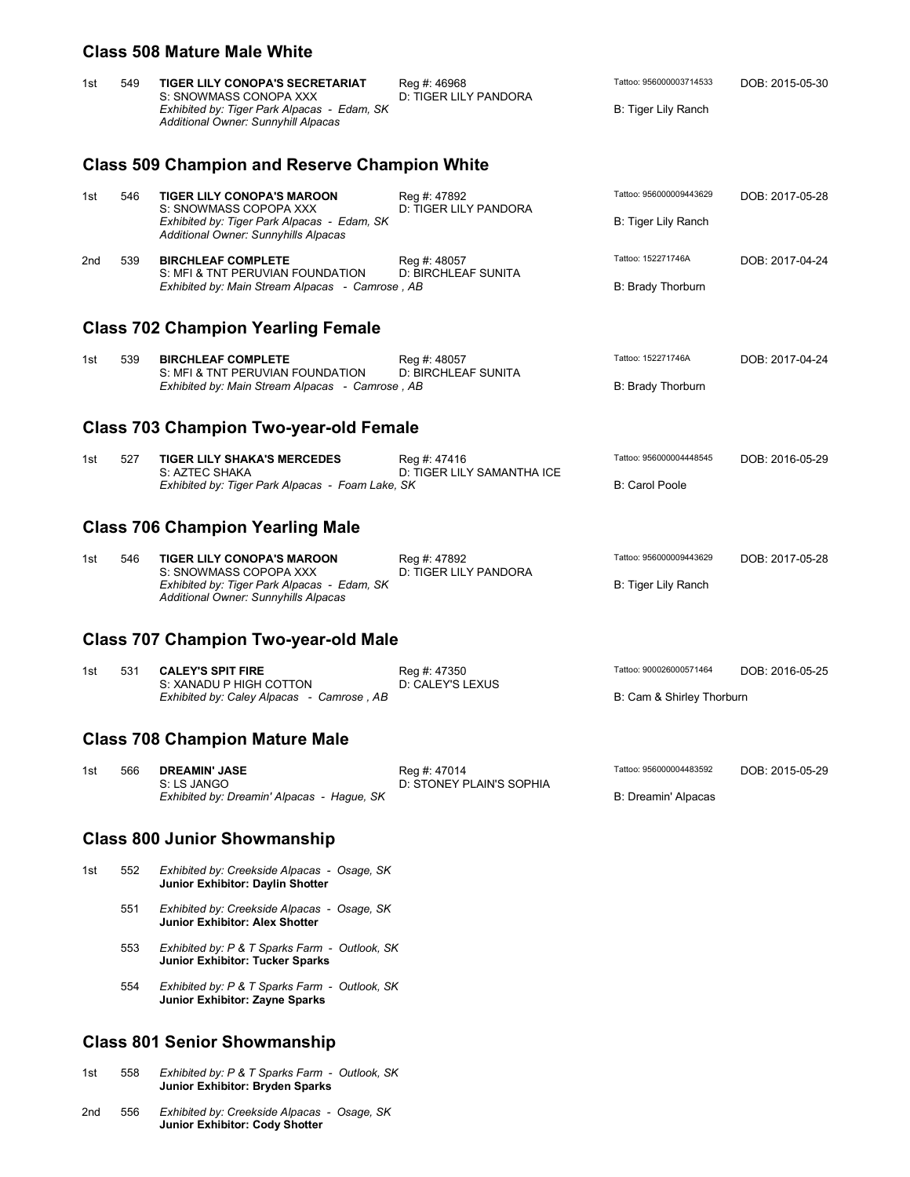#### **Class 508 Mature Male White**

| 1st                                           | 549 | <b>TIGER LILY CONOPA'S SECRETARIAT</b><br>S: SNOWMASS CONOPA XXX<br>Exhibited by: Tiger Park Alpacas - Edam, SK<br>Additional Owner: Sunnyhill Alpacas | Reg #: 46968<br>D: TIGER LILY PANDORA    | Tattoo: 956000003714533<br>B: Tiger Lily Ranch | DOB: 2015-05-30 |  |  |
|-----------------------------------------------|-----|--------------------------------------------------------------------------------------------------------------------------------------------------------|------------------------------------------|------------------------------------------------|-----------------|--|--|
|                                               |     | <b>Class 509 Champion and Reserve Champion White</b>                                                                                                   |                                          |                                                |                 |  |  |
| 1st                                           | 546 | <b>TIGER LILY CONOPA'S MAROON</b><br>S: SNOWMASS COPOPA XXX<br>Exhibited by: Tiger Park Alpacas - Edam, SK                                             | Reg #: 47892<br>D: TIGER LILY PANDORA    | Tattoo: 956000009443629<br>B: Tiger Lily Ranch | DOB: 2017-05-28 |  |  |
| 2nd                                           | 539 | Additional Owner: Sunnyhills Alpacas<br><b>BIRCHLEAF COMPLETE</b><br>S: MFI & TNT PERUVIAN FOUNDATION                                                  | Reg #: 48057<br>D: BIRCHLEAF SUNITA      | Tattoo: 152271746A                             | DOB: 2017-04-24 |  |  |
|                                               |     | Exhibited by: Main Stream Alpacas - Camrose, AB<br><b>Class 702 Champion Yearling Female</b>                                                           |                                          | B: Brady Thorburn                              |                 |  |  |
|                                               |     |                                                                                                                                                        |                                          |                                                |                 |  |  |
| 1st                                           | 539 | <b>BIRCHLEAF COMPLETE</b><br>S: MFI & TNT PERUVIAN FOUNDATION<br>Exhibited by: Main Stream Alpacas - Camrose, AB                                       | Reg #: 48057<br>D: BIRCHLEAF SUNITA      | Tattoo: 152271746A                             | DOB: 2017-04-24 |  |  |
|                                               |     |                                                                                                                                                        |                                          | B: Brady Thorburn                              |                 |  |  |
| <b>Class 703 Champion Two-year-old Female</b> |     |                                                                                                                                                        |                                          |                                                |                 |  |  |
| 1st                                           | 527 | <b>TIGER LILY SHAKA'S MERCEDES</b><br>S: AZTEC SHAKA<br>Exhibited by: Tiger Park Alpacas - Foam Lake, SK                                               | Reg #: 47416                             | Tattoo: 956000004448545                        | DOB: 2016-05-29 |  |  |
|                                               |     |                                                                                                                                                        | D: TIGER LILY SAMANTHA ICE               | <b>B: Carol Poole</b>                          |                 |  |  |
| <b>Class 706 Champion Yearling Male</b>       |     |                                                                                                                                                        |                                          |                                                |                 |  |  |
| 1st                                           | 546 | <b>TIGER LILY CONOPA'S MAROON</b><br>S: SNOWMASS COPOPA XXX<br>Exhibited by: Tiger Park Alpacas - Edam, SK<br>Additional Owner: Sunnyhills Alpacas     | Reg #: 47892<br>D: TIGER LILY PANDORA    | Tattoo: 956000009443629<br>B: Tiger Lily Ranch | DOB: 2017-05-28 |  |  |
|                                               |     | <b>Class 707 Champion Two-year-old Male</b>                                                                                                            |                                          |                                                |                 |  |  |
| 1st                                           | 531 | <b>CALEY'S SPIT FIRE</b><br>S: XANADU P HIGH COTTON<br>Exhibited by: Caley Alpacas   - Camrose , AB                                                    | Reg #: 47350<br>D: CALEY'S LEXUS         | Tattoo: 900026000571464                        | DOB: 2016-05-25 |  |  |
|                                               |     |                                                                                                                                                        |                                          | B: Cam & Shirley Thorburn                      |                 |  |  |
|                                               |     | <b>Class 708 Champion Mature Male</b>                                                                                                                  |                                          |                                                |                 |  |  |
| 1st                                           | 566 | <b>DREAMIN' JASE</b><br>S: LS JANGO<br>Exhibited by: Dreamin' Alpacas  - Hague, SK                                                                     | Reg #: 47014<br>D: STONEY PLAIN'S SOPHIA | Tattoo: 956000004483592<br>B: Dreamin' Alpacas | DOB: 2015-05-29 |  |  |
|                                               |     | <b>Class 800 Junior Showmanship</b>                                                                                                                    |                                          |                                                |                 |  |  |
| 1st                                           | 552 | Exhibited by: Creekside Alpacas - Osage, SK<br>Junior Exhibitor: Daylin Shotter                                                                        |                                          |                                                |                 |  |  |
|                                               | 551 | Exhibited by: Creekside Alpacas - Osage, SK<br>Junior Exhibitor: Alex Shotter                                                                          |                                          |                                                |                 |  |  |

- 553 *Exhibited by: P & T Sparks Farm Outlook, SK* **Junior Exhibitor: Tucker Sparks**
- 554 *Exhibited by: P & T Sparks Farm Outlook, SK* **Junior Exhibitor: Zayne Sparks**

## **Class 801 Senior Showmanship**

| 1st | 558 | Exhibited by: P & T Sparks Farm - Outlook, SK<br>Junior Exhibitor: Bryden Sparks |
|-----|-----|----------------------------------------------------------------------------------|
| 2nd | 556 | Exhibited by: Creekside Alpacas - Osage, SK<br>Junior Exhibitor: Cody Shotter    |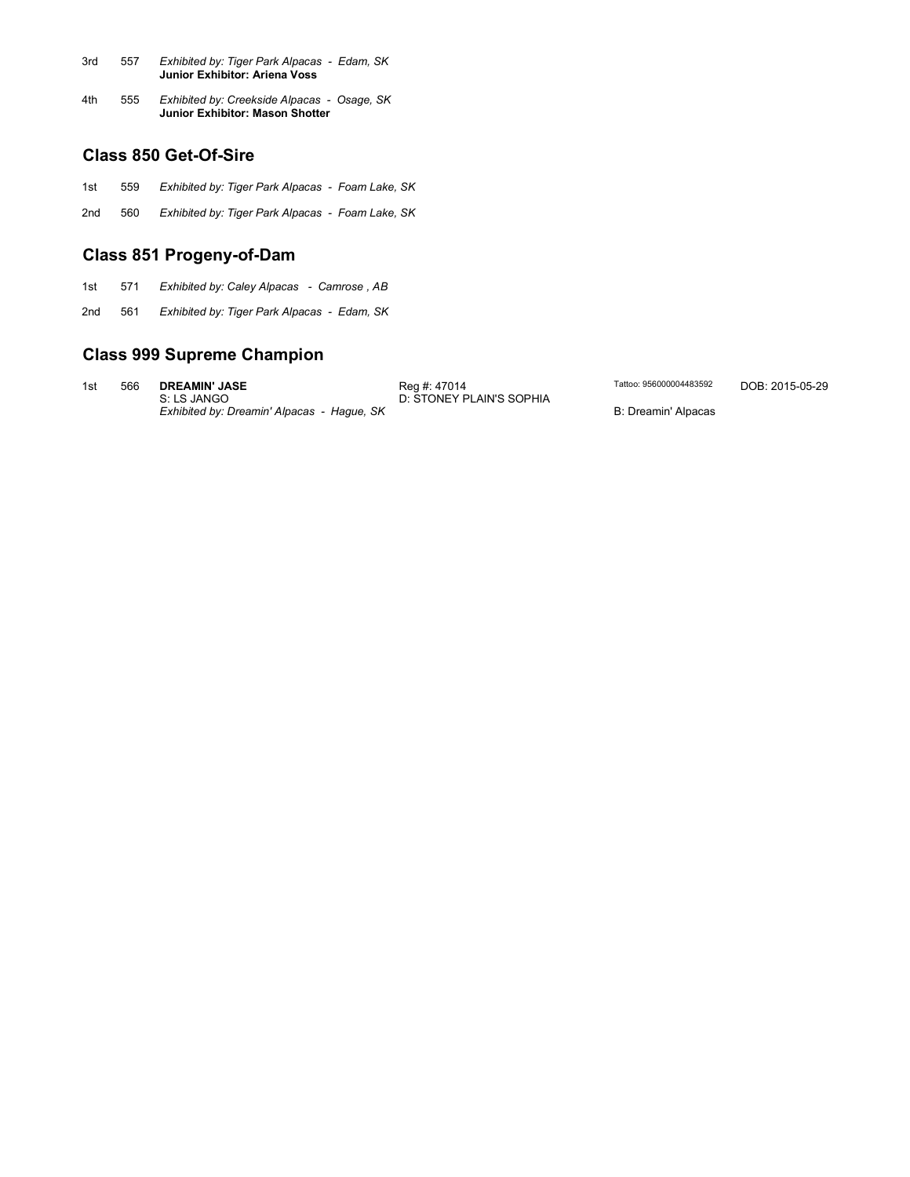| 3rd | 557 | Exhibited by: Tiger Park Alpacas - Edam, SK<br>Junior Exhibitor: Ariena Voss   |
|-----|-----|--------------------------------------------------------------------------------|
| 4th | 555 | Exhibited by: Creekside Alpacas - Osage, SK<br>Junior Exhibitor: Mason Shotter |

#### **Class 850 Get-Of-Sire**

- 1st 559 *Exhibited by: Tiger Park Alpacas Foam Lake, SK*
- 2nd 560 *Exhibited by: Tiger Park Alpacas - Foam Lake, SK*

### **Class 851 Progeny-of-Dam**

- 1st 571 *Exhibited by: Caley Alpacas Camrose , AB*
- 2nd 561 *Exhibited by: Tiger Park Alpacas Edam, SK*

### **Class 999 Supreme Champion**

1st 566 **DREAMIN' JASE** Reg #: 47014 Tattoo: 956000004483592 DOB: 2015-05-29 S: LS JANGO D: STONEY PLAIN'S SOPHIA **EXAMIN' JASE** Reg #: 47014 Reg + 2014<br>
S: LS JANGO D: STONEY PLAIN'S SOPHIA<br>
Exhibited by: Dreamin' Alpacas - Hague, SK B: Dreamin' Alpacas